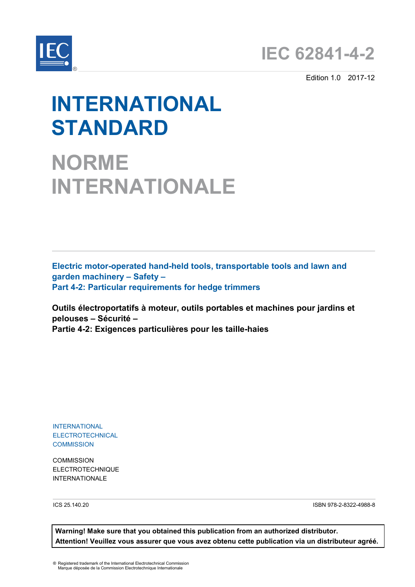

Edition 1.0 2017-12

# **INTERNATIONAL STANDARD**

**NORME INTERNATIONALE**

**Electric motor-operated hand-held tools, transportable tools and lawn and garden machinery – Safety – Part 4-2: Particular requirements for hedge trimmers**

**Outils électroportatifs à moteur, outils portables et machines pour jardins et pelouses – Sécurité – Partie 4-2: Exigences particulières pour les taille-haies**

INTERNATIONAL **ELECTROTECHNICAL COMMISSION** 

**COMMISSION** ELECTROTECHNIQUE INTERNATIONALE

ICS 25.140.20 ISBN 978-2-8322-4988-8

**Warning! Make sure that you obtained this publication from an authorized distributor. Attention! Veuillez vous assurer que vous avez obtenu cette publication via un distributeur agréé.**

® Registered trademark of the International Electrotechnical Commission Marque déposée de la Commission Electrotechnique Internationale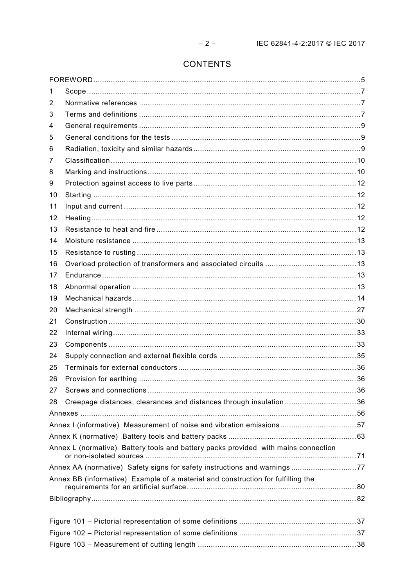# **CONTENTS**

| 1  |                                                                                    |  |
|----|------------------------------------------------------------------------------------|--|
| 2  |                                                                                    |  |
| 3  |                                                                                    |  |
| 4  |                                                                                    |  |
| 5  |                                                                                    |  |
| 6  |                                                                                    |  |
| 7  |                                                                                    |  |
| 8  |                                                                                    |  |
| 9  |                                                                                    |  |
| 10 |                                                                                    |  |
| 11 |                                                                                    |  |
| 12 |                                                                                    |  |
| 13 |                                                                                    |  |
| 14 |                                                                                    |  |
| 15 |                                                                                    |  |
| 16 |                                                                                    |  |
| 17 |                                                                                    |  |
| 18 |                                                                                    |  |
| 19 |                                                                                    |  |
| 20 |                                                                                    |  |
| 21 |                                                                                    |  |
| 22 |                                                                                    |  |
| 23 |                                                                                    |  |
| 24 |                                                                                    |  |
| 25 |                                                                                    |  |
| 26 |                                                                                    |  |
| 27 |                                                                                    |  |
| 28 | Creepage distances, clearances and distances through insulation36                  |  |
|    |                                                                                    |  |
|    |                                                                                    |  |
|    |                                                                                    |  |
|    | Annex L (normative) Battery tools and battery packs provided with mains connection |  |
|    | Annex AA (normative) Safety signs for safety instructions and warnings77           |  |
|    | Annex BB (informative) Example of a material and construction for fulfilling the   |  |
|    |                                                                                    |  |
|    |                                                                                    |  |
|    |                                                                                    |  |
|    |                                                                                    |  |
|    |                                                                                    |  |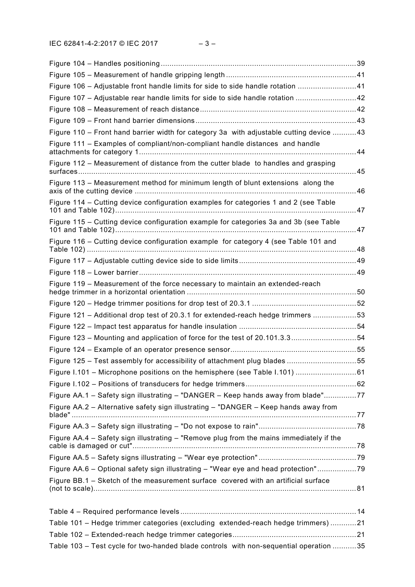| Figure 106 - Adjustable front handle limits for side to side handle rotation 41         |      |
|-----------------------------------------------------------------------------------------|------|
| Figure 107 - Adjustable rear handle limits for side to side handle rotation 42          |      |
|                                                                                         |      |
|                                                                                         |      |
| Figure 110 - Front hand barrier width for category 3a with adjustable cutting device 43 |      |
| Figure 111 - Examples of compliant/non-compliant handle distances and handle            |      |
| Figure 112 - Measurement of distance from the cutter blade to handles and grasping      |      |
| Figure 113 - Measurement method for minimum length of blunt extensions along the        |      |
| Figure 114 - Cutting device configuration examples for categories 1 and 2 (see Table    | . 47 |
| Figure 115 - Cutting device configuration example for categories 3a and 3b (see Table   |      |
| Figure 116 - Cutting device configuration example for category 4 (see Table 101 and     |      |
|                                                                                         |      |
|                                                                                         |      |
| Figure 119 – Measurement of the force necessary to maintain an extended-reach           |      |
|                                                                                         |      |
| Figure 121 - Additional drop test of 20.3.1 for extended-reach hedge trimmers 53        |      |
|                                                                                         |      |
| Figure 123 - Mounting and application of force for the test of 20.101.3.354             |      |
|                                                                                         |      |
| Figure 125 – Test assembly for accessibility of attachment plug blades 55               |      |
|                                                                                         |      |
|                                                                                         |      |
| Figure AA.1 - Safety sign illustrating - "DANGER - Keep hands away from blade"77        |      |
| Figure AA.2 - Alternative safety sign illustrating - "DANGER - Keep hands away from     |      |
|                                                                                         |      |
| Figure AA.4 - Safety sign illustrating - "Remove plug from the mains immediately if the |      |
|                                                                                         |      |
| Figure AA.6 - Optional safety sign illustrating - "Wear eye and head protection"79      |      |
| Figure BB.1 - Sketch of the measurement surface covered with an artificial surface      |      |
|                                                                                         |      |
|                                                                                         |      |
| Table 101 - Hedge trimmer categories (excluding extended-reach hedge trimmers) 21       |      |
|                                                                                         |      |
| Table 103 - Test cycle for two-handed blade controls with non-sequential operation 35   |      |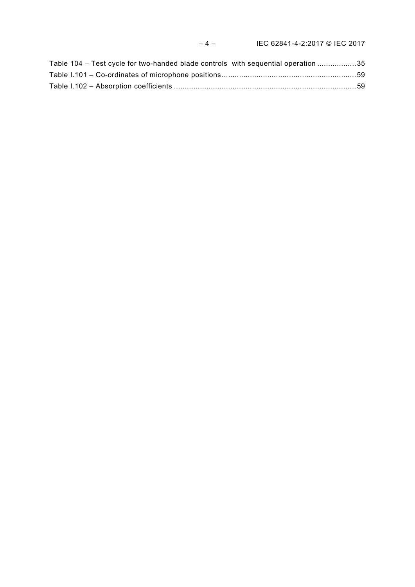| Table 104 – Test cycle for two-handed blade controls with sequential operation 35 |  |
|-----------------------------------------------------------------------------------|--|
|                                                                                   |  |
|                                                                                   |  |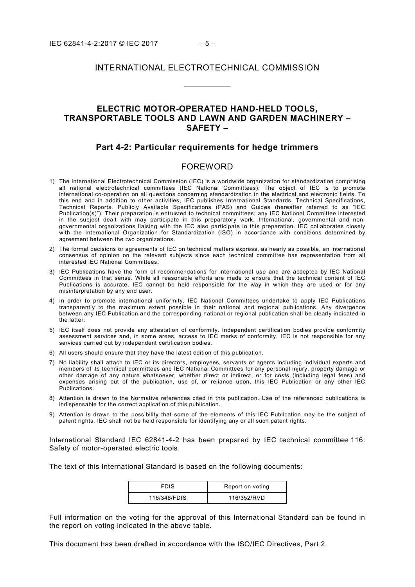## INTERNATIONAL ELECTROTECHNICAL COMMISSION

\_\_\_\_\_\_\_\_\_\_\_\_

# **ELECTRIC MOTOR-OPERATED HAND-HELD TOOLS, TRANSPORTABLE TOOLS AND LAWN AND GARDEN MACHINERY – SAFETY –**

## **Part 4-2: Particular requirements for hedge trimmers**

# FOREWORD

- <span id="page-4-0"></span>1) The International Electrotechnical Commission (IEC) is a worldwide organization for standardization comprising all national electrotechnical committees (IEC National Committees). The object of IEC is to promote international co-operation on all questions concerning standardization in the electrical and electronic fields. To this end and in addition to other activities, IEC publishes International Standards, Technical Specifications, Technical Reports, Publicly Available Specifications (PAS) and Guides (hereafter referred to as "IEC Publication(s)"). Their preparation is entrusted to technical committees; any IEC National Committee interested in the subject dealt with may participate in this preparatory work. International, governmental and nongovernmental organizations liaising with the IEC also participate in this preparation. IEC collaborates closely with the International Organization for Standardization (ISO) in accordance with conditions determined by agreement between the two organizations.
- 2) The formal decisions or agreements of IEC on technical matters express, as nearly as possible, an international consensus of opinion on the relevant subjects since each technical committee has representation from all interested IEC National Committees.
- 3) IEC Publications have the form of recommendations for international use and are accepted by IEC National Committees in that sense. While all reasonable efforts are made to ensure that the technical content of IEC Publications is accurate, IEC cannot be held responsible for the way in which they are used or for any misinterpretation by any end user.
- 4) In order to promote international uniformity, IEC National Committees undertake to apply IEC Publications transparently to the maximum extent possible in their national and regional publications. Any divergence between any IEC Publication and the corresponding national or regional publication shall be clearly indicated in the latter.
- 5) IEC itself does not provide any attestation of conformity. Independent certification bodies provide conformity assessment services and, in some areas, access to IEC marks of conformity. IEC is not responsible for any services carried out by independent certification bodies.
- 6) All users should ensure that they have the latest edition of this publication.
- 7) No liability shall attach to IEC or its directors, employees, servants or agents including individual experts and members of its technical committees and IEC National Committees for any personal injury, property damage or other damage of any nature whatsoever, whether direct or indirect, or for costs (including legal fees) and expenses arising out of the publication, use of, or reliance upon, this IEC Publication or any other IEC Publications.
- 8) Attention is drawn to the Normative references cited in this publication. Use of the referenced publications is indispensable for the correct application of this publication.
- 9) Attention is drawn to the possibility that some of the elements of this IEC Publication may be the subject of patent rights. IEC shall not be held responsible for identifying any or all such patent rights.

International Standard IEC 62841-4-2 has been prepared by IEC technical committee 116: Safety of motor-operated electric tools.

The text of this International Standard is based on the following documents:

| <b>FDIS</b>  | Report on voting |
|--------------|------------------|
| 116/346/FDIS | 116/352/RVD      |

Full information on the voting for the approval of this International Standard can be found in the report on voting indicated in the above table.

This document has been drafted in accordance with the ISO/IEC Directives, Part 2.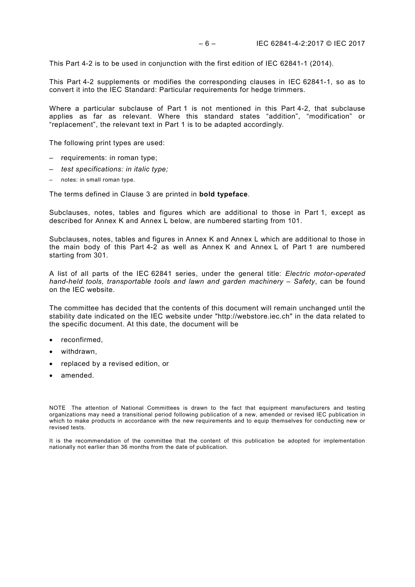This Part 4-2 is to be used in conjunction with the first edition of IEC 62841-1 (2014).

This Part 4-2 supplements or modifies the corresponding clauses in IEC 62841-1, so as to convert it into the IEC Standard: Particular requirements for hedge trimmers.

Where a particular subclause of Part 1 is not mentioned in this Part 4-2, that subclause applies as far as relevant. Where this standard states "addition", "modification" or "replacement", the relevant text in Part 1 is to be adapted accordingly.

The following print types are used:

- requirements: in roman type;
- *test specifications: in italic type;*
- notes: in small roman type.

The terms defined in Clause 3 are printed in **bold typeface**.

Subclauses, notes, tables and figures which are additional to those in Part 1, except as described for Annex K and Annex L below, are numbered starting from 101.

Subclauses, notes, tables and figures in Annex K and Annex L which are additional to those in the main body of this Part 4-2 as well as Annex K and Annex L of Part 1 are numbered starting from 301.

A list of all parts of the IEC 62841 series, under the general title: *Electric motor-operated hand-held tools, transportable tools and lawn and garden machinery – Safety*, can be found on the IEC website.

The committee has decided that the contents of this document will remain unchanged until the stability date indicated on the IEC website under "http://webstore.iec.ch" in the data related to the specific document. At this date, the document will be

- reconfirmed,
- withdrawn,
- replaced by a revised edition, or
- amended.

NOTE The attention of National Committees is drawn to the fact that equipment manufacturers and testing organizations may need a transitional period following publication of a new, amended or revised IEC publication in which to make products in accordance with the new requirements and to equip themselves for conducting new or revised tests.

It is the recommendation of the committee that the content of this publication be adopted for implementation nationally not earlier than 36 months from the date of publication.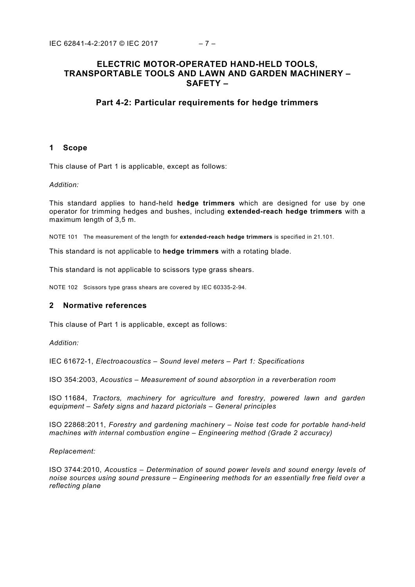# **ELECTRIC MOTOR-OPERATED HAND-HELD TOOLS, TRANSPORTABLE TOOLS AND LAWN AND GARDEN MACHINERY – SAFETY –**

## **Part 4-2: Particular requirements for hedge trimmers**

## <span id="page-6-0"></span>**1 Scope**

This clause of Part 1 is applicable, except as follows:

#### *Addition:*

This standard applies to hand-held **hedge trimmers** which are designed for use by one operator for trimming hedges and bushes, including **extended-reach hedge trimmers** with a maximum length of 3,5 m.

NOTE 101 The measurement of the length for **extended-reach hedge trimmers** is specified in 21.101.

This standard is not applicable to **hedge trimmers** with a rotating blade.

This standard is not applicable to scissors type grass shears.

NOTE 102 Scissors type grass shears are covered by IEC 60335-2-94.

## <span id="page-6-1"></span>**2 Normative references**

This clause of Part 1 is applicable, except as follows:

*Addition:*

IEC 61672-1, *Electroacoustics – Sound level meters – Part 1: Specifications*

ISO 354:2003, *Acoustics – Measurement of sound absorption in a reverberation room*

ISO 11684, *Tractors, machinery for agriculture and forestry, powered lawn and garden equipment – Safety signs and hazard pictorials – General principles*

ISO 22868:2011, *Forestry and gardening machinery – Noise test code for portable hand-held machines with internal combustion engine – Engineering method (Grade 2 accuracy)*

#### *Replacement:*

<span id="page-6-2"></span>ISO 3744:2010, *Acoustics – Determination of sound power levels and sound energy levels of noise sources using sound pressure – Engineering methods for an essentially free field over a reflecting plane*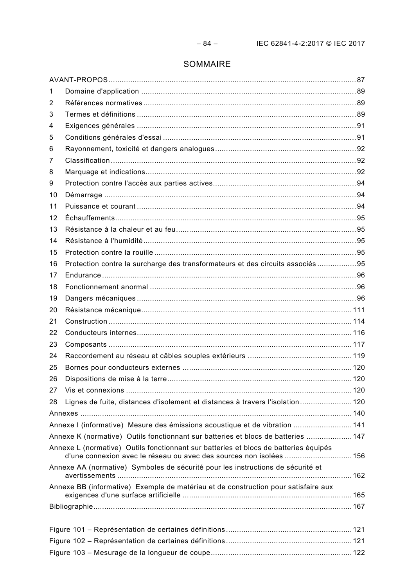# SOMMAIRE

| 1  |                                                                                                                                                            |  |
|----|------------------------------------------------------------------------------------------------------------------------------------------------------------|--|
| 2  |                                                                                                                                                            |  |
| 3  |                                                                                                                                                            |  |
| 4  | Exigences générales ……………………………………………………………………………………………91                                                                                                  |  |
| 5  |                                                                                                                                                            |  |
| 6  |                                                                                                                                                            |  |
| 7  |                                                                                                                                                            |  |
| 8  |                                                                                                                                                            |  |
| 9  |                                                                                                                                                            |  |
| 10 |                                                                                                                                                            |  |
| 11 |                                                                                                                                                            |  |
| 12 |                                                                                                                                                            |  |
| 13 |                                                                                                                                                            |  |
| 14 |                                                                                                                                                            |  |
| 15 |                                                                                                                                                            |  |
| 16 | Protection contre la surcharge des transformateurs et des circuits associés 95                                                                             |  |
| 17 |                                                                                                                                                            |  |
| 18 |                                                                                                                                                            |  |
| 19 |                                                                                                                                                            |  |
| 20 |                                                                                                                                                            |  |
| 21 |                                                                                                                                                            |  |
| 22 |                                                                                                                                                            |  |
| 23 |                                                                                                                                                            |  |
| 24 |                                                                                                                                                            |  |
| 25 |                                                                                                                                                            |  |
| 26 |                                                                                                                                                            |  |
| 27 |                                                                                                                                                            |  |
| 28 | Lignes de fuite, distances d'isolement et distances à travers l'isolation120                                                                               |  |
|    |                                                                                                                                                            |  |
|    | Annexe I (informative) Mesure des émissions acoustique et de vibration  141                                                                                |  |
|    | Annexe K (normative) Outils fonctionnant sur batteries et blocs de batteries  147                                                                          |  |
|    | Annexe L (normative) Outils fonctionnant sur batteries et blocs de batteries équipés<br>d'une connexion avec le réseau ou avec des sources non isolées 156 |  |
|    | Annexe AA (normative) Symboles de sécurité pour les instructions de sécurité et                                                                            |  |
|    | Annexe BB (informative) Exemple de matériau et de construction pour satisfaire aux                                                                         |  |
|    |                                                                                                                                                            |  |
|    |                                                                                                                                                            |  |
|    |                                                                                                                                                            |  |
|    |                                                                                                                                                            |  |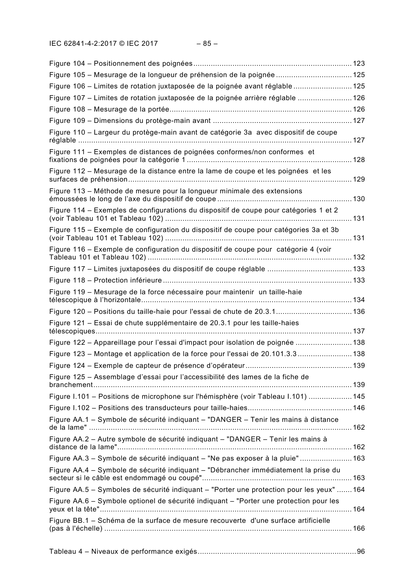| Figure 105 - Mesurage de la longueur de préhension de la poignée  125                                                                                         |  |
|---------------------------------------------------------------------------------------------------------------------------------------------------------------|--|
| Figure 106 – Limites de rotation juxtaposée de la poignée avant réglable 125                                                                                  |  |
| Figure 107 – Limites de rotation juxtaposée de la poignée arrière réglable  126                                                                               |  |
|                                                                                                                                                               |  |
|                                                                                                                                                               |  |
| Figure 110 - Largeur du protège-main avant de catégorie 3a avec dispositif de coupe                                                                           |  |
| Figure 111 - Exemples de distances de poignées conformes/non conformes et                                                                                     |  |
| Figure 112 – Mesurage de la distance entre la lame de coupe et les poignées et les                                                                            |  |
| Figure 113 - Méthode de mesure pour la longueur minimale des extensions                                                                                       |  |
| Figure 114 - Exemples de configurations du dispositif de coupe pour catégories 1 et 2<br>(voir Tableau 101 et Tableau 102) …………………………………………………………………………………131 |  |
| Figure 115 - Exemple de configuration du dispositif de coupe pour catégories 3a et 3b                                                                         |  |
| Figure 116 – Exemple de configuration du dispositif de coupe pour catégorie 4 (voir                                                                           |  |
|                                                                                                                                                               |  |
|                                                                                                                                                               |  |
| Figure 119 - Mesurage de la force nécessaire pour maintenir un taille-haie                                                                                    |  |
| Figure 120 – Positions du taille-haie pour l'essai de chute de 20.3.1 136                                                                                     |  |
| Figure 121 - Essai de chute supplémentaire de 20.3.1 pour les taille-haies                                                                                    |  |
| Figure 122 - Appareillage pour l'essai d'impact pour isolation de poignée  138                                                                                |  |
| Figure 123 - Montage et application de la force pour l'essai de 20.101.3.3 138                                                                                |  |
|                                                                                                                                                               |  |
| Figure 125 – Assemblage d'essai pour l'accessibilité des lames de la fiche de                                                                                 |  |
| Figure I.101 - Positions de microphone sur l'hémisphère (voir Tableau I.101)  145                                                                             |  |
|                                                                                                                                                               |  |
| Figure AA.1 – Symbole de sécurité indiquant – "DANGER – Tenir les mains à distance                                                                            |  |
| Figure AA.2 - Autre symbole de sécurité indiquant - "DANGER - Tenir les mains à                                                                               |  |
| Figure AA.3 - Symbole de sécurité indiquant - "Ne pas exposer à la pluie" 163                                                                                 |  |
| Figure AA.4 - Symbole de sécurité indiquant - "Débrancher immédiatement la prise du                                                                           |  |
| Figure AA.5 - Symboles de sécurité indiquant - "Porter une protection pour les yeux"  164                                                                     |  |
| Figure AA.6 - Symbole optionel de sécurité indiquant - "Porter une protection pour les                                                                        |  |
| Figure BB.1 - Schéma de la surface de mesure recouverte d'une surface artificielle                                                                            |  |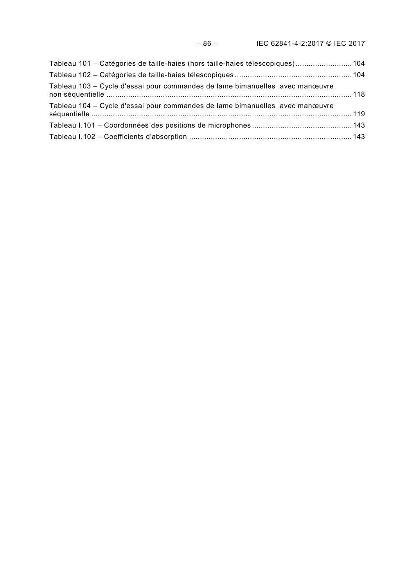| Tableau 101 - Catégories de taille-haies (hors taille-haies télescopiques) 104 |  |
|--------------------------------------------------------------------------------|--|
|                                                                                |  |
| Tableau 103 - Cycle d'essai pour commandes de lame bimanuelles avec manœuvre   |  |
| Tableau 104 - Cycle d'essai pour commandes de lame bimanuelles avec manœuvre   |  |
|                                                                                |  |
|                                                                                |  |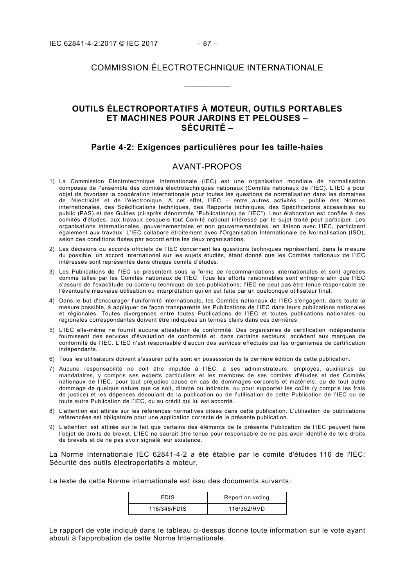# COMMISSION ÉLECTROTECHNIQUE INTERNATIONALE

\_\_\_\_\_\_\_\_\_\_\_\_

# **OUTILS ÉLECTROPORTATIFS À MOTEUR, OUTILS PORTABLES ET MACHINES POUR JARDINS ET PELOUSES – SÉCURITÉ –**

## **Partie 4-2: Exigences particulières pour les taille-haies**

## AVANT-PROPOS

- <span id="page-10-0"></span>1) La Commission Electrotechnique Internationale (IEC) est une organisation mondiale de normalisation composée de l'ensemble des comités électrotechniques nationaux (Comités nationaux de l'IEC). L'IEC a pour objet de favoriser la coopération internationale pour toutes les questions de normalisation dans les domaines de l'électricité et de l'électronique. A cet effet, l'IEC – entre autres activités – publie des Normes internationales, des Spécifications techniques, des Rapports techniques, des Spécifications accessibles au public (PAS) et des Guides (ci-après dénommés "Publication(s) de l'IEC"). Leur élaboration est confiée à des comités d'études, aux travaux desquels tout Comité national intéressé par le sujet traité peut participer. Les organisations internationales, gouvernementales et non gouvernementales, en liaison avec l'IEC, participent également aux travaux. L'IEC collabore étroitement avec l'Organisation Internationale de Normalisation (ISO), selon des conditions fixées par accord entre les deux organisations.
- 2) Les décisions ou accords officiels de l'IEC concernant les questions techniques représentent, dans la mesure du possible, un accord international sur les sujets étudiés, étant donné que les Comités nationaux de l'IEC intéressés sont représentés dans chaque comité d'études.
- 3) Les Publications de l'IEC se présentent sous la forme de recommandations internationales et sont agréées comme telles par les Comités nationaux de l'IEC. Tous les efforts raisonnables sont entrepris afin que l'IEC s'assure de l'exactitude du contenu technique de ses publications; l'IEC ne peut pas être tenue responsable de l'éventuelle mauvaise utilisation ou interprétation qui en est faite par un quelconque utilisateur final.
- 4) Dans le but d'encourager l'uniformité internationale, les Comités nationaux de l'IEC s'engagent, dans toute la mesure possible, à appliquer de façon transparente les Publications de l'IEC dans leurs publications nationales et régionales. Toutes divergences entre toutes Publications de l'IEC et toutes publications nationales ou régionales correspondantes doivent être indiquées en termes clairs dans ces dernières.
- 5) L'IEC elle-même ne fournit aucune attestation de conformité. Des organismes de certification indépendants fournissent des services d'évaluation de conformité et, dans certains secteurs, accèdent aux marques de conformité de l'IEC. L'IEC n'est responsable d'aucun des services effectués par les organismes de certification indépendants.
- 6) Tous les utilisateurs doivent s'assurer qu'ils sont en possession de la dernière édition de cette publication.
- 7) Aucune responsabilité ne doit être imputée à l'IEC, à ses administrateurs, employés, auxiliaires ou mandataires, y compris ses experts particuliers et les membres de ses comités d'études et des Comités nationaux de l'IEC, pour tout préjudice causé en cas de dommages corporels et matériels, ou de tout autre dommage de quelque nature que ce soit, directe ou indirecte, ou pour supporter les coûts (y compris les frais de justice) et les dépenses découlant de la publication ou de l'utilisation de cette Publication de l'IEC ou de toute autre Publication de l'IEC, ou au crédit qui lui est accordé.
- 8) L'attention est attirée sur les références normatives citées dans cette publication. L'utilisation de publications référencées est obligatoire pour une application correcte de la présente publication.
- 9) L'attention est attirée sur le fait que certains des éléments de la présente Publication de l'IEC peuvent faire l'objet de droits de brevet. L'IEC ne saurait être tenue pour responsable de ne pas avoir identifié de tels droits de brevets et de ne pas avoir signalé leur existence.

La Norme Internationale IEC 62841-4-2 a été établie par le comité d'études 116 de l'IEC: Sécurité des outils électroportatifs à moteur.

Le texte de cette Norme internationale est issu des documents suivants:

| FDIS         | Report on voting |
|--------------|------------------|
| 116/346/FDIS | 116/352/RVD      |

Le rapport de vote indiqué dans le tableau ci-dessus donne toute information sur le vote ayant abouti à l'approbation de cette Norme Internationale.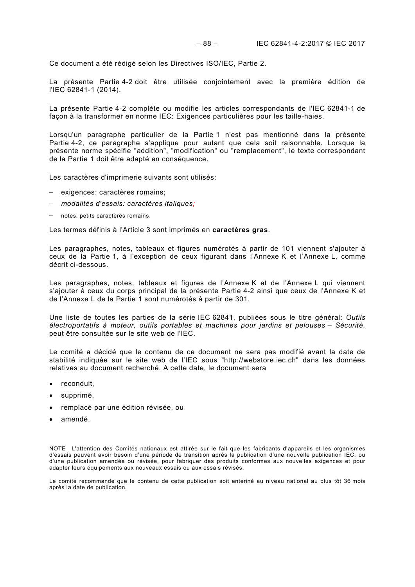Ce document a été rédigé selon les Directives ISO/IEC, Partie 2.

La présente Partie 4-2 doit être utilisée conjointement avec la première édition de l'IEC 62841-1 (2014).

La présente Partie 4-2 complète ou modifie les articles correspondants de l'IEC 62841-1 de façon à la transformer en norme IEC: Exigences particulières pour les taille-haies.

Lorsqu'un paragraphe particulier de la Partie 1 n'est pas mentionné dans la présente Partie 4-2, ce paragraphe s'applique pour autant que cela soit raisonnable. Lorsque la présente norme spécifie "addition", "modification" ou "remplacement", le texte correspondant de la Partie 1 doit être adapté en conséquence.

Les caractères d'imprimerie suivants sont utilisés:

- exigences: caractères romains;
- *modalités d'essais: caractères italiques;*
- notes: petits caractères romains.

Les termes définis à l'Article 3 sont imprimés en **caractères gras**.

Les paragraphes, notes, tableaux et figures numérotés à partir de 101 viennent s'ajouter à ceux de la Partie 1, à l'exception de ceux figurant dans l'Annexe K et l'Annexe L, comme décrit ci-dessous.

Les paragraphes, notes, tableaux et figures de l'Annexe K et de l'Annexe L qui viennent s'ajouter à ceux du corps principal de la présente Partie 4-2 ainsi que ceux de l'Annexe K et de l'Annexe L de la Partie 1 sont numérotés à partir de 301.

Une liste de toutes les parties de la série IEC 62841, publiées sous le titre général: *Outils électroportatifs à moteur, outils portables et machines pour jardins et pelouses – Sécurité*, peut être consultée sur le site web de l'IEC.

Le comité a décidé que le contenu de ce document ne sera pas modifié avant la date de stabilité indiquée sur le site web de l'IEC sous "http://webstore.iec.ch" dans les données relatives au document recherché. A cette date, le document sera

- reconduit,
- supprimé,
- remplacé par une édition révisée, ou
- amendé.

NOTE L'attention des Comités nationaux est attirée sur le fait que les fabricants d'appareils et les organismes d'essais peuvent avoir besoin d'une période de transition après la publication d'une nouvelle publication IEC, ou d'une publication amendée ou révisée, pour fabriquer des produits conformes aux nouvelles exigences et pour adapter leurs équipements aux nouveaux essais ou aux essais révisés.

Le comité recommande que le contenu de cette publication soit entériné au niveau national au plus tôt 36 mois après la date de publication.